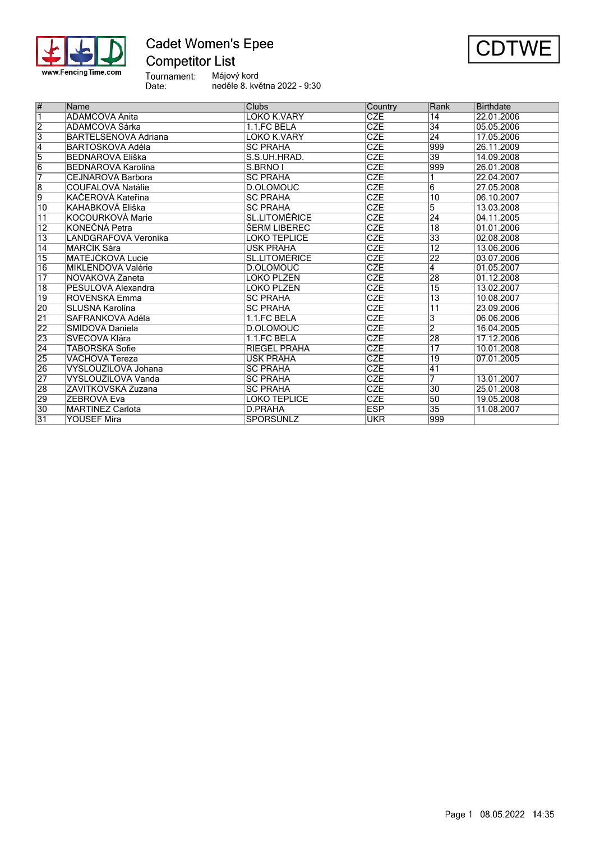

### **Cadet Women's Epee Competitor List**



Tournament:<br>Date: Májový kord neděle 8. května 2022 - 9:30

| $\overline{\#}$         | Name                    | Clubs                | Country    | Rank            | <b>Birthdate</b> |
|-------------------------|-------------------------|----------------------|------------|-----------------|------------------|
| $\overline{\mathbf{1}}$ | ADAMCOVÁ Anita          | LOKO K.VARY          | <b>CZE</b> | 14              | 22.01.2006       |
| $\overline{2}$          | ADAMCOVÁ Šárka          | 1.1.FC BĚLÁ          | <b>CZE</b> | $\overline{34}$ | 05.05.2006       |
| $\overline{3}$          | BARTELSENOVÁ Adriana    | LOKO K.VARY          | <b>CZE</b> | 24              | 17.05.2006       |
| $\overline{4}$          | BARTOŠKOVÁ Adéla        | <b>SC PRAHA</b>      | <b>CZE</b> | 999             | 26.11.2009       |
| $\overline{5}$          | <b>BEDNÁŘOVÁ Eliška</b> | S.S.UH.HRAD.         | <b>CZE</b> | $\overline{39}$ | 14.09.2008       |
| $\overline{6}$          | BEDNÁŘOVÁ Karolína      | S.BRNO I             | <b>CZE</b> | 999             | 26.01.2008       |
| 7                       | ICEJNAROVÁ Barbora      | <b>SC PRAHA</b>      | <b>CZE</b> |                 | 22.04.2007       |
| $\overline{8}$          | COUFALOVÁ Natálie       | D.OLOMOUC            | <b>CZE</b> | $\overline{6}$  | 27.05.2008       |
| $\overline{9}$          | KAČEROVÁ Kateřina       | <b>SC PRAHA</b>      | <b>CZE</b> | $\overline{10}$ | 06.10.2007       |
| $\overline{10}$         | KAHABKOVÁ Eliška        | <b>SC PRAHA</b>      | <b>CZE</b> | 5               | 13.03.2008       |
| $\overline{11}$         | KOCOURKOVÁ Marie        | <b>SL.LITOMĚŘICE</b> | <b>CZE</b> | 24              | 04.11.2005       |
| 12                      | KONEČNÁ Petra           | <b>ŠERM LIBEREC</b>  | <b>CZE</b> | $\overline{18}$ | 01.01.2006       |
| $\overline{13}$         | LANDGRAFOVÁ Veronika    | <b>LOKO TEPLICE</b>  | <b>CZE</b> | $\overline{33}$ | 02.08.2008       |
| $\overline{14}$         | <b>MARCIK Sára</b>      | <b>USK PRAHA</b>     | <b>CZE</b> | $\overline{12}$ | 13.06.2006       |
| $\overline{15}$         | MATĚJČKOVÁ Lucie        | <b>SL.LITOMÉŘICE</b> | <b>CZE</b> | $\overline{22}$ | 03.07.2006       |
| $\overline{16}$         | MIKLENDOVÁ Valérie      | D.OLOMOUC            | <b>CZE</b> | 4               | 01.05.2007       |
| $\overline{17}$         | NOVÁKOVÁ Žaneta         | LOKO PLZEŇ           | <b>CZE</b> | 28              | 01.12.2008       |
| $\overline{18}$         | PEŠULOVÁ Alexandra      | LOKO PLZEŇ           | <b>CZE</b> | $\overline{15}$ | 13.02.2007       |
| $\overline{19}$         | ROVENSKÁ Emma           | <b>SC PRAHA</b>      | <b>CZE</b> | $\overline{13}$ | 10.08.2007       |
| 20                      | SLUŠNÁ Karolína         | <b>SC PRAHA</b>      | <b>CZE</b> | $\overline{11}$ | 23.09.2006       |
| $\overline{21}$         | ∣ŠAFRÁNKOVÁ Adéla       | 1.1.FC BĚLÁ          | <b>CZE</b> | 3               | 06.06.2006       |
| 22                      | ŠMÍDOVÁ Daniela         | D.OLOMOUC            | <b>CZE</b> | $\overline{2}$  | 16.04.2005       |
| 23                      | ŠVECOVÁ Klára           | 1.1.FC BĚLÁ          | <b>CZE</b> | 28              | 17.12.2006       |
| $\overline{24}$         | TÁBORSKÁ Sofie          | <b>RIEGEL PRAHA</b>  | <b>CZE</b> | $\overline{17}$ | 10.01.2008       |
| 25                      | VÁCHOVÁ Tereza          | <b>USK PRAHA</b>     | <b>CZE</b> | $\overline{19}$ | 07.01.2005       |
| 26                      | VYSLOUŽILOVÁ Johana     | <b>SC PRAHA</b>      | <b>CZE</b> | 41              |                  |
| 27                      | VYSLOUŽILOVÁ Vanda      | <b>SC PRAHA</b>      | <b>CZE</b> | 7               | 13.01.2007       |
| 28                      | ZÁVITKOVSKÁ Zuzana      | <b>SC PRAHA</b>      | <b>CZE</b> | 30              | 25.01.2008       |
| 29                      | IŽEBROVÁ Eva            | LOKO TEPLICE         | <b>CZE</b> | 50              | 19.05.2008       |
| $\overline{30}$         | <b>MARTINEZ Carlota</b> | D.PRAHA              | <b>ESP</b> | 35              | 11.08.2007       |
| 31                      | <b>YOUSEF Mira</b>      | SPORŠÚNLZ            | <b>UKR</b> | 999             |                  |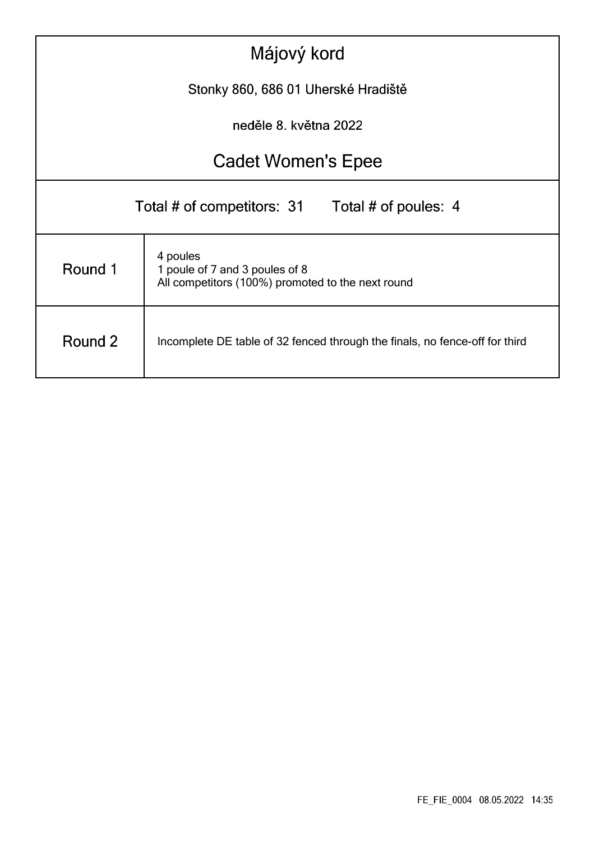|                                                                                                            | Májový kord |  |  |  |  |  |  |  |
|------------------------------------------------------------------------------------------------------------|-------------|--|--|--|--|--|--|--|
| Stonky 860, 686 01 Uherské Hradiště                                                                        |             |  |  |  |  |  |  |  |
| neděle 8. května 2022                                                                                      |             |  |  |  |  |  |  |  |
| <b>Cadet Women's Epee</b>                                                                                  |             |  |  |  |  |  |  |  |
| Total # of competitors: 31<br>Total # of poules: 4                                                         |             |  |  |  |  |  |  |  |
| 4 poules<br>Round 1<br>1 poule of 7 and 3 poules of 8<br>All competitors (100%) promoted to the next round |             |  |  |  |  |  |  |  |
| Round 2<br>Incomplete DE table of 32 fenced through the finals, no fence-off for third                     |             |  |  |  |  |  |  |  |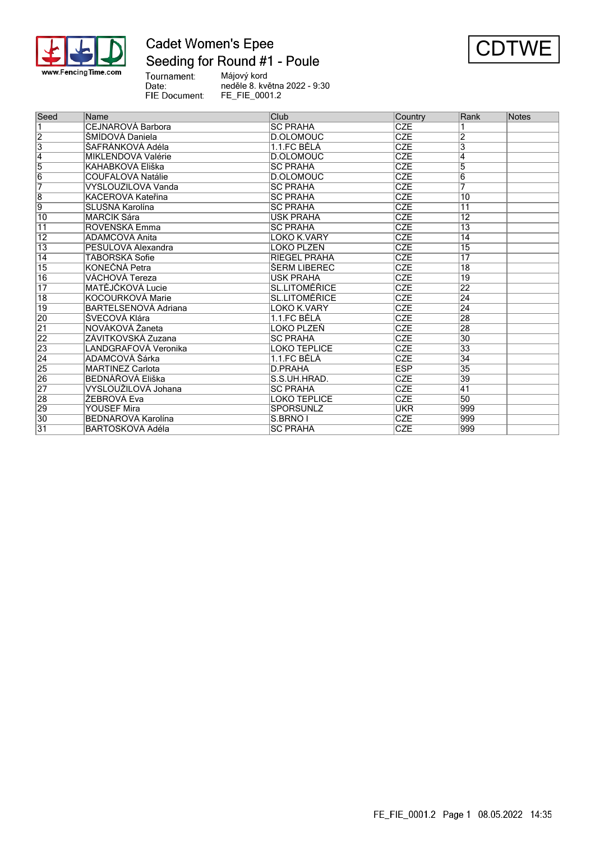

### **Cadet Women's Epee** Seeding for Round #1 - Poule



Tournament:<br>Date: FIE Document:

Májový kord neděle 8. května 2022 - 9:30 FE\_FIE\_0001.2

| Seed            | Name                     | <b>Club</b>          | Country    | Rank            | Notes |
|-----------------|--------------------------|----------------------|------------|-----------------|-------|
| ī               | <b>CEJNAROVÁ Barbora</b> | <b>SC PRAHA</b>      | <b>CZE</b> |                 |       |
| $\overline{2}$  | ŠMÍDOVÁ Daniela          | D.OLOMOUC            | <b>CZE</b> |                 |       |
| $\overline{3}$  | SAFRÁNKOVÁ Adéla         | 1.1.FC BĚLÁ          | <b>CZE</b> | 3               |       |
| $\overline{4}$  | MIKLENDOVÁ Valérie       | D.OLOMOUC            | <b>CZE</b> | 4               |       |
| $\overline{5}$  | KAHABKOVÁ Eliška         | <b>SC PRAHA</b>      | <b>CZE</b> | 5               |       |
| $\overline{6}$  | COUFALOVÁ Natálie        | D.OLOMOUC            | <b>CZE</b> | 6               |       |
| $\overline{7}$  | VYSLOUŽILOVÁ Vanda       | <b>SC PRAHA</b>      | <b>CZE</b> | 7               |       |
| $\overline{8}$  | KAČEROVÁ Kateřina        | <b>SC PRAHA</b>      | <b>CZE</b> | 10              |       |
| 9               | SLUŠNÁ Karolína          | <b>SC PRAHA</b>      | <b>CZE</b> | $\overline{11}$ |       |
| 10              | MARČÍK Sára              | USK PRAHA            | <b>CZE</b> | $\overline{12}$ |       |
| $\overline{11}$ | ROVENSKÁ Emma            | <b>SC PRAHA</b>      | <b>CZE</b> | $\overline{13}$ |       |
| $\overline{12}$ | <b>ADAMCOVÁ Anita</b>    | LOKO K.VARY          | <b>CZE</b> | 14              |       |
| $\overline{13}$ | PEŠULOVÁ Alexandra       | LOKO PLZEŇ           | <b>CZE</b> | 15              |       |
| $\overline{14}$ | TÁBORSKÁ Sofie           | <b>RIEGEL PRAHA</b>  | <b>CZE</b> | 17              |       |
| $\overline{15}$ | KONEČNÁ Petra            | ŠERM LIBEREC         | <b>CZE</b> | $\overline{18}$ |       |
| 16              | VÁCHOVÁ Tereza           | <b>USK PRAHA</b>     | <b>CZE</b> | 19              |       |
| $\overline{17}$ | MATĚJČKOVÁ Lucie         | <b>SL.LITOMÉŘICE</b> | <b>CZE</b> | 22              |       |
| $\overline{18}$ | KOCOURKOVÁ Marie         | <b>SL.LITOMÉŘICE</b> | <b>CZE</b> | 24              |       |
| 19              | BARTELSENOVÁ Adriana     | LOKO K.VARY          | <b>CZE</b> | 24              |       |
| 20              | ŠVECOVÁ Klára            | 1.1.FC BĚLÁ          | <b>CZE</b> | 28              |       |
| $\overline{21}$ | NOVÁKOVÁ Žaneta          | LOKO PLZEŇ           | <b>CZE</b> | 28              |       |
| 22              | ZÁVITKOVSKÁ Zuzana       | <b>SC PRAHA</b>      | <b>CZE</b> | $\overline{30}$ |       |
| 23              | LANDGRAFOVÁ Veronika     | LOKO TEPLICE         | CZE        | 33              |       |
| $\overline{24}$ | ADAMCOVÁ Šárka           | 1.1.FC BĚLÁ          | <b>CZE</b> | 34              |       |
| 25              | <b>MARTINEZ Carlota</b>  | D.PRAHA              | <b>ESP</b> | $\overline{35}$ |       |
| 26              | <b>BEDNÁŘOVÁ Eliška</b>  | S.S.UH.HRAD.         | <b>CZE</b> | 39              |       |
| $\overline{27}$ | VYSLOUŽILOVÁ Johana      | <b>SC PRAHA</b>      | <b>CZE</b> | $\overline{41}$ |       |
| 28              | ŽEBROVÁ Eva              | <b>LOKO TEPLICE</b>  | <b>CZE</b> | 50              |       |
| 29              | <b>YOUSEF Mira</b>       | SPORŠÚNLZ            | <b>UKR</b> | 999             |       |
| 30              | BEDNÁŘOVÁ Karolína       | S.BRNO I             | <b>CZE</b> | 999             |       |
| $\overline{31}$ | BARTOŠKOVÁ Adéla         | <b>SC PRAHA</b>      | <b>CZE</b> | 999             |       |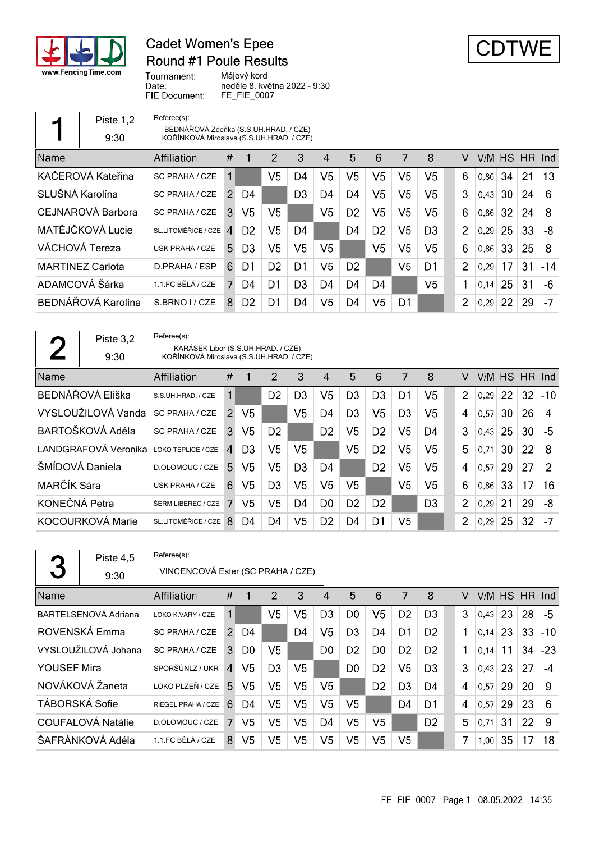

### **Cadet Women's Epee Round #1 Poule Results**



Tournament: Májový kord Date: neděle 8. května 2022 - 9:30 FIE Document: FE\_FIE\_0007

|                 | Piste 1,2               | Referee(s):                                                                       |                |                |                |                |                |                |                |                |                |   |      |     |               |       |
|-----------------|-------------------------|-----------------------------------------------------------------------------------|----------------|----------------|----------------|----------------|----------------|----------------|----------------|----------------|----------------|---|------|-----|---------------|-------|
|                 | 9:30                    | BEDNÁŘOVÁ Zdeňka (S.S.UH.HRAD. / CZE)<br>KOŘÍNKOVÁ Miroslava (S.S.UH.HRAD. / CZE) |                |                |                |                |                |                |                |                |                |   |      |     |               |       |
| <b>Name</b>     |                         | Affiliation                                                                       | #              | 1              | $\overline{2}$ | 3              | 4              | 5              | 6              | 7              | 8              | V |      |     | V/M HS HR Ind |       |
|                 | KAČEROVÁ Kateřina       | <b>SC PRAHA / CZE</b>                                                             | 1              |                | V5             | D4             | V5             | V5             | V5             | V5             | V5             | 6 | 0,86 | -34 | 21            | 13    |
| SLUŠNÁ Karolína |                         | SC PRAHA / CZE                                                                    | $\mathcal{P}$  | D4             |                | D <sub>3</sub> | D4             | D4             | V5             | V <sub>5</sub> | V <sub>5</sub> | 3 | 0,43 | 30  | 24            | 6     |
|                 | CEJNAROVÁ Barbora       | SC PRAHA / CZE                                                                    | 3              | V5             | V5             |                | V <sub>5</sub> | D <sub>2</sub> | V5             | V <sub>5</sub> | V <sub>5</sub> | 6 | 0,86 | 32  | 24            | 8     |
|                 | MATĚJČKOVÁ Lucie        | SL.LITOMĚŘICE / CZE                                                               | $\overline{4}$ | D <sub>2</sub> | V5             | D4             |                | D4             | D <sub>2</sub> | V5             | D <sub>3</sub> | 2 | 0,29 | 25  | 33            | -8    |
|                 | VÁCHOVÁ Tereza          | <b>USK PRAHA / CZE</b>                                                            | 5.             | D <sub>3</sub> | V <sub>5</sub> | V <sub>5</sub> | V5             |                | V5             | V <sub>5</sub> | V <sub>5</sub> | 6 | 0,86 | 33  | 25            | 8     |
|                 | <b>MARTINEZ Carlota</b> | D.PRAHA / ESP                                                                     | 6              | D1             | D <sub>2</sub> | D1             | V <sub>5</sub> | D <sub>2</sub> |                | V <sub>5</sub> | D1             | 2 | 0.29 | 17  | 31            | $-14$ |
|                 | ADAMCOVÁ Šárka          | 1.1.FC BĚLÁ / CZE                                                                 |                | D4             | D <sub>1</sub> | D <sub>3</sub> | D <sub>4</sub> | D4             | D4             |                | V <sub>5</sub> | 1 | 0.14 | 25  | 31            | -6    |
|                 | BEDNÁŘOVÁ Karolína      | S.BRNO I / CZE                                                                    | 8              | D <sub>2</sub> | D1             | D4             | V <sub>5</sub> | D4             | V5             | D1             |                | 2 | 0.29 | 22  | 29            | $-7$  |

|               | Piste 3,2            | Referee(s):<br>KARÁSEK Libor (S.S.UH.HRAD. / CZE) |                |                |                |                |                |                |                |                |                |                |      |           |    |       |
|---------------|----------------------|---------------------------------------------------|----------------|----------------|----------------|----------------|----------------|----------------|----------------|----------------|----------------|----------------|------|-----------|----|-------|
|               | 9:30                 | KOŘÍNKOVÁ Miroslava (S.S.UH.HRAD. / CZE)          |                |                |                |                |                |                |                |                |                |                |      |           |    |       |
| <b>Name</b>   |                      | <b>Affiliation</b>                                | #              |                | 2              | 3              | 4              | 5              | 6              | 7              | 8              | V              | V/M- | <b>HS</b> | HR | Ind   |
|               | BEDNÁŘOVÁ Eliška     | S.S.UH.HRAD. / CZE                                | 1              |                | D <sub>2</sub> | D <sub>3</sub> | V <sub>5</sub> | D <sub>3</sub> | D <sub>3</sub> | D1             | V5             | $\overline{2}$ | 0,29 | 22        | 32 | $-10$ |
|               | VYSLOUŽILOVÁ Vanda   | <b>SC PRAHA / CZE</b>                             | $\mathcal{P}$  | V5             |                | V <sub>5</sub> | D4             | D <sub>3</sub> | V5             | D <sub>3</sub> | V5             | 4              | 0,57 | 30        | 26 | 4     |
|               | BARTOŠKOVÁ Adéla     | <b>SC PRAHA / CZE</b>                             | 3              | V <sub>5</sub> | D <sub>2</sub> |                | D <sub>2</sub> | V5             | D <sub>2</sub> | V5             | D <sub>4</sub> | 3              | 0,43 | 25        | 30 | -5    |
|               | LANDGRAFOVÁ Veronika | LOKO TEPLICE / CZE                                | $\overline{4}$ | D <sub>3</sub> | V <sub>5</sub> | V5             |                | V5             | D <sub>2</sub> | V5             | V5             | 5              | 0,71 | 30        | 22 | 8     |
|               | ŠMÍDOVÁ Daniela      | D.OLOMOUC / CZE                                   | 5.             | V5             | V <sub>5</sub> | D <sub>3</sub> | D4             |                | D <sub>2</sub> | V5             | V5             | 4              | 0,57 | 29        | 27 | 2     |
| MARČÍK Sára   |                      | <b>USK PRAHA / CZE</b>                            | 6              | V <sub>5</sub> | D <sub>3</sub> | V <sub>5</sub> | V <sub>5</sub> | V5             |                | V <sub>5</sub> | V5             | 6              | 0,86 | 33        | 17 | 16    |
| KONEČNÁ Petra |                      | ŠERM LIBEREC / CZE                                |                | V <sub>5</sub> | V <sub>5</sub> | D <sub>4</sub> | D <sub>0</sub> | D <sub>2</sub> | D <sub>2</sub> |                | D <sub>3</sub> | $\overline{2}$ | 0,29 | 21        | 29 | -8    |
|               | KOCOURKOVÁ Marie     | SL.LITOMĚŘICE / CZE                               | 8              | D4             | D4             | V <sub>5</sub> | D <sub>2</sub> | D4             | D1             | V <sub>5</sub> |                | $\overline{2}$ | 0,29 | 25        | 32 | -7    |

|                    | Piste 4,5            | Referee(s):                       |                |                |                |                |                |                |                |                |                |   |      |    |           |       |
|--------------------|----------------------|-----------------------------------|----------------|----------------|----------------|----------------|----------------|----------------|----------------|----------------|----------------|---|------|----|-----------|-------|
| 3                  | 9:30                 | VINCENCOVÁ Ester (SC PRAHA / CZE) |                |                |                |                |                |                |                |                |                |   |      |    |           |       |
| Name               |                      | Affiliation                       | #              | 1              | 2              | 3              | 4              | 5              | 6              | 7              | 8              | v | V/M  |    | HS HR Ind |       |
|                    | BARTELSENOVÁ Adriana | LOKO K.VARY / CZE                 | 1              |                | V <sub>5</sub> | V5             | D <sub>3</sub> | D0.            | V <sub>5</sub> | D <sub>2</sub> | D <sub>3</sub> | 3 | 0,43 | 23 | 28        | $-5$  |
|                    | ROVENSKÁ Emma        | <b>SC PRAHA / CZE</b>             | $\overline{2}$ | D4             |                | D <sub>4</sub> | V <sub>5</sub> | D <sub>3</sub> | D4             | D <sub>1</sub> | D <sub>2</sub> | 1 | 0.14 | 23 | 33        | $-10$ |
|                    | VYSLOUŽILOVÁ Johana  | <b>SC PRAHA / CZE</b>             | 3              | D <sub>0</sub> | V5             |                | D <sub>0</sub> | D <sub>2</sub> | D <sub>0</sub> | D <sub>2</sub> | D <sub>2</sub> |   | 0,14 | 11 | 34        | $-23$ |
| <b>YOUSEF Mira</b> |                      | SPORŠÚNLZ / UKR                   | $\overline{4}$ | V5             | D <sub>3</sub> | V <sub>5</sub> |                | D <sub>0</sub> | D <sub>2</sub> | V <sub>5</sub> | D <sub>3</sub> | 3 | 0,43 | 23 | 27        | $-4$  |
|                    | NOVÁKOVÁ Žaneta      | LOKO PLZEŇ / CZE                  | 5              | V <sub>5</sub> | V <sub>5</sub> | V <sub>5</sub> | V <sub>5</sub> |                | D <sub>2</sub> | D <sub>3</sub> | D4             | 4 | 0,57 | 29 | 20        | 9     |
| TÁBORSKÁ Sofie     |                      | RIEGEL PRAHA / CZE                | 6              | D4             | V <sub>5</sub> | V <sub>5</sub> | V5             | V5             |                | D4             | D <sub>1</sub> | 4 | 0,57 | 29 | 23        | 6     |
|                    | COUFALOVÁ Natálie    | D.OLOMOUC / CZE                   | 7              | V5             | V5             | V5             | D4             | V5             | V5             |                | D <sub>2</sub> | 5 | 0,71 | 31 | 22        | 9     |
|                    | ŠAFRÁNKOVÁ Adéla     | 1.1.FC BĚLÁ / CZE                 | 8              | V <sub>5</sub> | V5             | V <sub>5</sub> | V <sub>5</sub> | V5             | V5             | V <sub>5</sub> |                | 7 | 1,00 | 35 | 17        | 18    |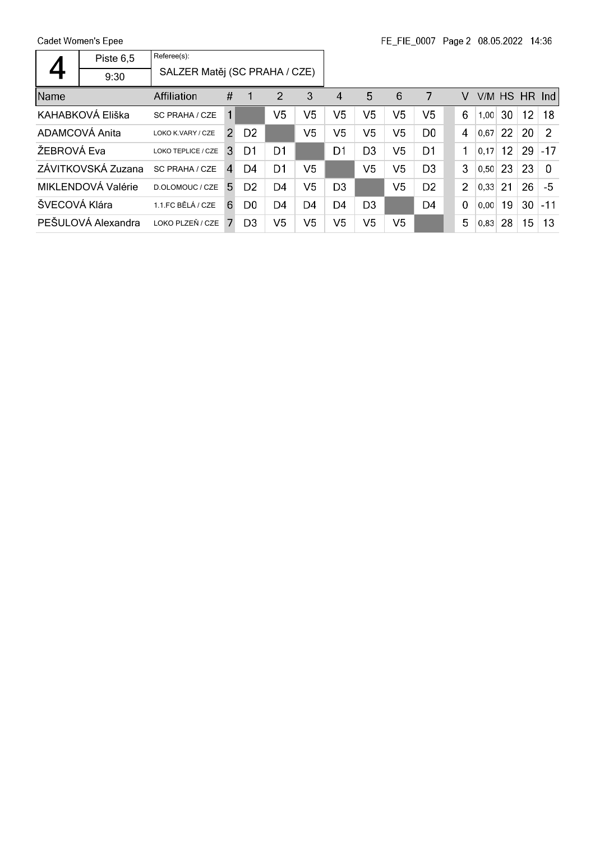|               | Piste 6,5          | Referee(s):                   |                |                |                |                |                |                |                |                |                |      |    |           |               |
|---------------|--------------------|-------------------------------|----------------|----------------|----------------|----------------|----------------|----------------|----------------|----------------|----------------|------|----|-----------|---------------|
|               | 9:30               | SALZER Matěj (SC PRAHA / CZE) |                |                |                |                |                |                |                |                |                |      |    |           |               |
| Name          |                    | Affiliation                   | #              |                | 2              | 3              | 4              | 5              | 6              | 7              | V              | V/M  |    | HS HR Ind |               |
|               | KAHABKOVÁ Eliška   | SC PRAHA / CZE                | 1              |                | V <sub>5</sub> | V5             | V5             | V <sub>5</sub> | V <sub>5</sub> | V5             | 6              | 1,00 | 30 | 12        | 18            |
|               | ADAMCOVÁ Anita     | LOKO K.VARY / CZE             | $\overline{2}$ | D <sub>2</sub> |                | V5             | V5             | V5             | V <sub>5</sub> | D <sub>0</sub> | 4              | 0.67 | 22 | 20        | $\mathcal{P}$ |
| ŽEBROVÁ Eva   |                    | LOKO TEPLICE / CZE            | 3              | D1             | D <sub>1</sub> |                | D <sub>1</sub> | D <sub>3</sub> | V <sub>5</sub> | D <sub>1</sub> | 1              | 0.17 | 12 | 29        | $-17$         |
|               | ZÁVITKOVSKÁ Zuzana | SC PRAHA / CZE                | $\mathbf{A}$   | D4             | D <sub>1</sub> | V5             |                | V5             | V <sub>5</sub> | D <sub>3</sub> | 3              | 0,50 | 23 | 23        | $\Omega$      |
|               | MIKLENDOVÁ Valérie | D.OLOMOUC / CZE               | 5              | D <sub>2</sub> | D4             | V <sub>5</sub> | D <sub>3</sub> |                | V <sub>5</sub> | D <sub>2</sub> | $\overline{2}$ | 0,33 | 21 | 26        | -5            |
| ŠVECOVÁ Klára |                    | 1.1.FC BĚLÁ / CZE             | 6              | D <sub>0</sub> | D4             | D <sub>4</sub> | D <sub>4</sub> | D <sub>3</sub> |                | D <sub>4</sub> | $\mathbf 0$    | 0.00 | 19 | 30        | $-11$         |
|               | PEŠULOVÁ Alexandra | LOKO PLZEŇ / CZE              |                | D <sub>3</sub> | V5             | V5             | V5             | V5             | V <sub>5</sub> |                | 5              | 0,83 | 28 | 15        | 13            |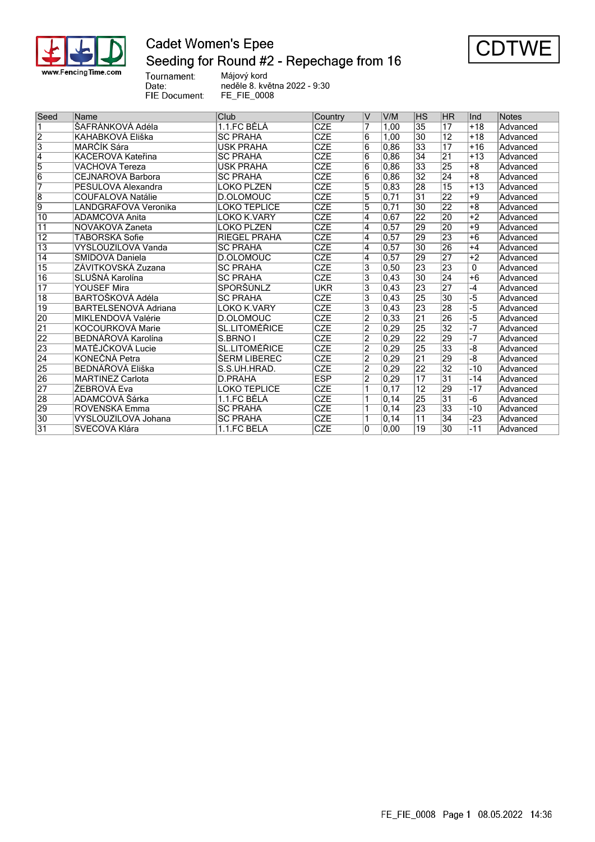

## **Cadet Women's Epee** Seeding for Round #2 - Repechage from 16



Tournament:<br>Date: FIE Document:

Májový kord neděle 8. května 2022 - 9:30 FE\_FIE\_0008

| Seed            | Name                    | Club                 | Country    | V              | V/M   | <b>HS</b>       | HR              | llnd  | <b>Notes</b> |
|-----------------|-------------------------|----------------------|------------|----------------|-------|-----------------|-----------------|-------|--------------|
|                 | ŠAFRÁNKOVÁ Adéla        | 1.1.FC BĚLÁ          | <b>CZE</b> |                | 1.00  | $\overline{35}$ | 17              | $+18$ | Advanced     |
| $\overline{2}$  | KAHABKOVÁ Eliška        | <b>SC PRAHA</b>      | <b>CZE</b> | 6              | 1,00  | 30              | $\overline{12}$ | $+18$ | Advanced     |
| 3               | MARČÍK Sára             | <b>USK PRAHA</b>     | <b>CZE</b> | 6              | 0.86  | 33              | 17              | $+16$ | Advanced     |
| $\overline{4}$  | KAČEROVÁ Kateřina       | <b>SC PRAHA</b>      | <b>CZE</b> | 6              | 0.86  | 34              | 21              | $+13$ | Advanced     |
| 5               | VÁCHOVÁ Tereza          | <b>USK PRAHA</b>     | <b>CZE</b> | 6              | 0,86  | $\overline{33}$ | 25              | $+8$  | Advanced     |
| $\overline{6}$  | CEJNAROVÁ Barbora       | <b>SC PRAHA</b>      | <b>CZE</b> | 6              | 0,86  | $\overline{32}$ | 24              | $+8$  | Advanced     |
| 7               | PEŠULOVÁ Alexandra      | LOKO PLZEŇ           | <b>CZE</b> | 5              | 0,83  | $\overline{28}$ | 15              | $+13$ | Advanced     |
| $\overline{8}$  | COUFALOVÁ Natálie       | D.OLOMOUC            | <b>CZE</b> | 5              | 0,71  | $\overline{31}$ | 22              | +9    | Advanced     |
| 9               | LANDGRAFOVÁ Veronika    | <b>LOKO TEPLICE</b>  | CZE        | 5              | 0,71  | $\overline{30}$ | 22              | $+8$  | Advanced     |
| $\overline{10}$ | ADAMCOVÁ Anita          | LOKO K.VARY          | <b>CZE</b> | 4              | 0.67  | $\overline{22}$ | 20              | $+2$  | Advanced     |
| $\overline{11}$ | NOVÁKOVÁ Žaneta         | LOKO PLZEŇ           | <b>CZE</b> | 4              | 0.57  | 29              | 20              | +9    | Advanced     |
| 12              | TÁBORSKÁ Sofie          | <b>RIEGEL PRAHA</b>  | <b>CZE</b> | $\overline{4}$ | 0,57  | 29              | 23              | $+6$  | Advanced     |
| $\overline{13}$ | VYSLOUŽILOVÁ Vanda      | <b>SC PRAHA</b>      | <b>CZE</b> | 4              | 0.57  | $\overline{30}$ | 26              | $+4$  | Advanced     |
| $\overline{14}$ | ŠMÍDOVÁ Daniela         | D.OLOMOUC            | <b>CZE</b> | 4              | 0,57  | 29              | $\overline{27}$ | $+2$  | Advanced     |
| $\overline{15}$ | ZÁVITKOVSKÁ Zuzana      | <b>SC PRAHA</b>      | <b>CZE</b> | 3              | 0,50  | $\overline{23}$ | 23              | 0     | Advanced     |
| $\overline{16}$ | SLUŠNÁ Karolína         | <b>SC PRAHA</b>      | <b>CZE</b> | 3              | 0,43  | $\overline{30}$ | 24              | $+6$  | Advanced     |
| $\overline{17}$ | <b>YOUSEF Mira</b>      | SPORŠÚNLZ            | UKR        | 3              | 0,43  | $\overline{23}$ | 27              | -4    | Advanced     |
| $\overline{18}$ | BARTOŠKOVÁ Adéla        | <b>SC PRAHA</b>      | <b>CZE</b> | $\overline{3}$ | 0.43  | $\overline{25}$ | $\overline{30}$ | -5    | Advanced     |
| $\overline{19}$ | BARTELSENOVÁ Adriana    | <b>LOKO K.VARY</b>   | <b>CZE</b> | 3              | 0,43  | 23              | 28              | -5    | Advanced     |
| 20              | MIKLENDOVÁ Valérie      | D.OLOMOUC            | <b>CZE</b> | $\overline{2}$ | 0,33  | $\overline{21}$ | 26              | -5    | Advanced     |
| $\overline{21}$ | KOCOURKOVÁ Marie        | <b>SL.LITOMĚŘICE</b> | <b>CZE</b> | $\overline{2}$ | 0.29  | $\overline{25}$ | $\overline{32}$ | $-7$  | Advanced     |
| 22              | BEDNÁŘOVÁ Karolína      | S.BRNO I             | <b>CZE</b> | $\overline{2}$ | 0.29  | $\overline{22}$ | 29              | $-7$  | Advanced     |
| 23              | MATĚJČKOVÁ Lucie        | <b>SL.LITOMĚŘICE</b> | <b>CZE</b> | $\overline{2}$ | 0.29  | $\overline{25}$ | 33              | -8    | Advanced     |
| $\overline{24}$ | KONEČNÁ Petra           | ŠERM LIBEREC         | <b>CZE</b> | $\overline{2}$ | 0,29  | $\overline{21}$ | 29              | -8    | Advanced     |
| 25              | <b>BEDNÁŘOVÁ Eliška</b> | S.S.UH.HRAD.         | CZE        | $\overline{2}$ | 0.29  | $\overline{22}$ | $\overline{32}$ | $-10$ | Advanced     |
| 26              | <b>MARTINEZ Carlota</b> | D.PRAHA              | <b>ESP</b> | $\overline{2}$ | 0,29  | $\overline{17}$ | $\overline{31}$ | $-14$ | Advanced     |
| $\overline{27}$ | ŽEBROVÁ Eva             | <b>LOKO TEPLICE</b>  | <b>CZE</b> | 1              | 0,17  | $\overline{12}$ | 29              | $-17$ | Advanced     |
| 28              | ADAMCOVÁ Šárka          | 1.1.FC BĚLÁ          | <b>CZE</b> | 1              | 0,14  | $\overline{25}$ | $\overline{31}$ | $-6$  | Advanced     |
| 29              | ROVENSKÁ Emma           | <b>SC PRAHA</b>      | <b>CZE</b> | 1              | 0, 14 | $\overline{23}$ | 33              | $-10$ | Advanced     |
| 30              | VYSLOUŽILOVÁ Johana     | <b>SC PRAHA</b>      | <b>CZE</b> | 1              | 0,14  | 11              | 34              | -23   | Advanced     |
| $\overline{31}$ | ŠVECOVÁ Klára           | 1.1.FC BĚLÁ          | <b>CZE</b> | l0             | 0,00  | 19              | 30              | $-11$ | Advanced     |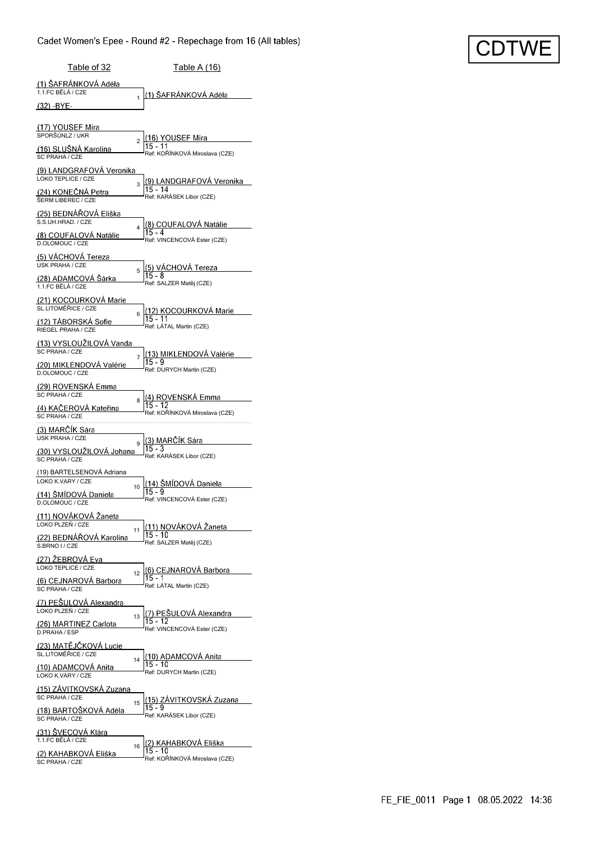| <u>Table of 32</u>                                   | <b>Table A (16)</b>                                                         |
|------------------------------------------------------|-----------------------------------------------------------------------------|
| (1) ŠAFRÁNKOVÁ Adéla<br>1.1.FC BĚLÁ / CZE            | (1) ŠAFRÁNKOVÁ Adéla                                                        |
| (32) -BYE-                                           | 1                                                                           |
| (17) YOUSEF Mira                                     |                                                                             |
| SPORŠÚNLZ / UKR<br>(16) SLUSNA Karolína              | (16) YOUSEF Mira<br>$\overline{2}$<br>15 - 11                               |
| SC PRAHA / CZE<br><u>(9) LANDGRAFOVA Veronika</u>    | Ref: KOŘÍNKOVÁ Miroslava (CZE)                                              |
| LOKO TEPLICE / CZE                                   | (9) LANDGRAFOVA Veronika<br>3<br>15 - 14                                    |
| <u>(24) KONEČNÁ Petra</u><br>ŠERM LIBEREC / CZE      | Ref: KARÁSEK Libor (CZE)                                                    |
| (25) BEDNAROVA Eliška<br>S.S.UH.HRAD. / CZE          | (8) COUFALOVA Natálie<br>4                                                  |
| (8) COUFALOVA Natálie<br>D.OLOMOUC / CZE             | Ref: VINCENCOVÁ Ester (CZE)                                                 |
| (5) VACHOVA Tereza<br><b>USK PRAHA / CZE</b>         |                                                                             |
| <u>(28) ADAMCOVÁ Šárka</u>                           | (5) VÁCHOVÁ Tereza<br>5<br>Ref: SALZER Matěj (CZE)                          |
| 1.1.FC BĚLÁ / CZE<br><u>(21) KOCOURKOVÁ Marie</u>    |                                                                             |
| SL.LITOMĚŘICE / CZE<br>(12) TABORSKA Sofie           | (12) KOCOURKOVÁ Marie<br>6<br>$15 - 11$                                     |
| RIEGEL PRAHA / CZE                                   | Ref: LÁTAL Martin (CZE)                                                     |
| (13) VYSLOUZILOVA Vanda<br>SC PRAHA / CZE            | (13) MIKLENDOVA Valérie<br>7                                                |
| (20) MIKLENDOVA Valérie<br>D.OLOMOUC / CZE           | 15 - 9<br>Ref: DURYCH Martin (CZE)                                          |
| (29) ROVENSKA Emma<br>SC PRAHA / CZE                 | (4) ROVENSKA Emma                                                           |
| (4) KACEROVA Kateřina<br>SC PRAHA / CZE              | 8<br>15 - 12<br>Ref: KOŘÍNKOVÁ Miroslava (CZE)                              |
| (3) MARCIK Sára                                      |                                                                             |
| <b>USK PRAHA / CZE</b><br>(30) VYSLOUŽILOVÁ Johana   | (3) MARČÍK Sára<br>9                                                        |
| SC PRAHA / CZE<br>(19) BARTELSENOVÁ Adriana          | Ref: KARÁSEK Libor (CZE)                                                    |
| LOKO K.VARY / CZE                                    | <u>(14) ŠMÍDOVÁ Dan</u> iela<br>10<br>15 - 9                                |
| (14) ŠMÍDOVÁ Daniela<br>D.OLOMOUC / CZE              | Ref: VINCENCOVÁ Ester (CZE)                                                 |
| (11) NOVÁKOVÁ Žaneta<br>LOKO PLZEŇ / CZE             | <u>(11) NOVÁKOVÁ Žaneta</u>                                                 |
| (22) BEDNÁŘOVÁ Karolína<br>S.BRNO I / CZE            | 11<br>15 - 10<br>Ref: SALZER Matěj (CZE)                                    |
| (27) ZEBROVA Eva<br>LOKO TEPLICE / CZE               |                                                                             |
| (6) CEJNAROVA Barbora                                | (6) CEJNAROVA Barbora<br>12<br>15 - 1<br>Ref: LÁTAL Martin (CZE)            |
| SC PRAHA / CZE<br>(7) PESULOVA Alexandra             |                                                                             |
| LOKO PLZEŇ / CZE                                     | <u>(7) PEŠULOVÁ Alexandra</u><br>13<br>15 - 12                              |
| (26) MARTINEZ Carlota<br>D.PRAHA / ESP               | Ref: VINCENCOVÁ Ester (CZE)                                                 |
| <u> (23) MATĚJČKOVÁ Lucie</u><br>SL.LITOMĚŘICE / CZE | (10) ADAMCOVÁ Anita<br>14                                                   |
| (10) ADAMCOVA Anita<br>LOKO K.VARY / CZE             | 15 - 10<br>Ref: DURYCH Martin (CZE)                                         |
| (15) ZAVITKOVSKA Zuzana<br>SC PRAHA / CZE            |                                                                             |
| (18) BARTOŠKOVÁ Adéla<br>SC PRAHA / CZE              | <u>(15) ZAVITKOVSKA Zuzana.</u><br>15<br>15 - 9<br>Ref: KARÁSEK Libor (CZE) |
| (31) SVECOVÁ Klára                                   |                                                                             |
| 1.1.FC BĚLÁ / CZE<br>(2) KAHABKOVÁ Eliška            | (2) KAHABKOVÁ Eliška<br>16<br>15 - 10                                       |
| SC PRAHA / CZE                                       | Ref: KOŘÍNKOVÁ Miroslava (CZE)                                              |

# CDTW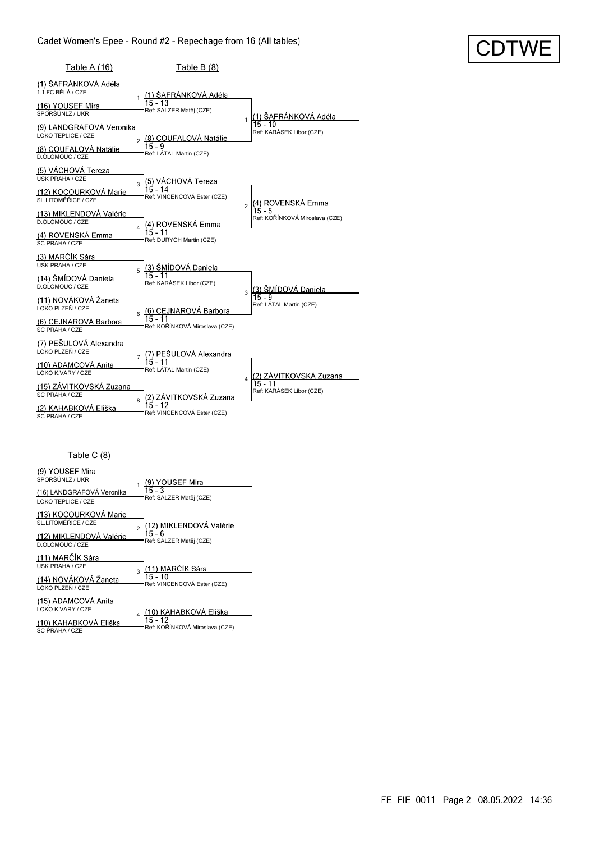| CDTWE |
|-------|
|       |

| <u>Table A (16)</u>                                                                                               | Table $B(8)$                                                                                 |                                               |
|-------------------------------------------------------------------------------------------------------------------|----------------------------------------------------------------------------------------------|-----------------------------------------------|
| (1) ŠAFRÁNKOVÁ Adéla<br>11FC BÉLÁ / CZF<br>(16) YOUSEF Mira<br>SPORŠÚNLZ / UKR                                    | <u>(1) ŠAFRÁNKOVÁ</u> Adéla<br>15 - 13<br>Ref: SALZER Matěj (CZE)                            | (1) ŠAFRÁNKOVÁ Adéla<br>1<br>15 - 10          |
| (9) LANDGRAFOVÁ Veronika<br>LOKO TEPLICE / CZE<br>(8) COUFALOVÁ Natálie<br>D.OLOMOUC / CZE                        | (8) COUFALOVÁ Natálie<br>$\overline{2}$<br>$15 - 9$<br>Ref: LÁTAL Martin (CZE)               | Ref: KARÁSEK Libor (CZE)                      |
| (5) VÁCHOVÁ Tereza<br><b>USK PRAHA / CZE</b><br>(12) KOCOURKOVÁ Marie<br>SL LITOMĚŘICE / CZE                      | (5) VÁCHOVÁ Tereza<br>3<br>$15 - 14$<br>Ref: VINCENCOVÁ Ester (CZE)                          | (4) ROVENSKÁ Emma<br>$\overline{2}$<br>15 - 5 |
| (13) MIKLENDOVÁ Valérie<br>D.OLOMOUC / CZE<br>(4) ROVENSKÁ Emma<br>SC PRAHA / CZE                                 | <u>(4) ROVENSKÁ Emma</u><br>$\overline{\mathbf{A}}$<br>$15 - 11$<br>Ref: DURYCH Martin (CZE) | Ref: KOŘÍNKOVÁ Miroslava (CZE)                |
| (3) MARČÍK Sára<br><b>USK PRAHA / CZE</b><br>(14) ŠMÍDOVÁ Daniela<br>D.OLOMOUC / CZE                              | (3) ŠMÍDOVÁ Daniela<br>5<br>$15 - 11$<br>Ref: KARÁSEK Libor (CZE)                            | k3) ŠMÍDOVÁ Daniela<br>3<br>15 - 9            |
| (11) NOVÁKOVÁ Žaneta<br>LOKO PLZEŇ / CZE<br>(6) CEJNAROVÁ Barbora<br>SC PRAHA / CZE                               | (6) CEJNAROVÁ Barbora<br>6<br>$15 - 11$<br>Ref: KOŘÍNKOVÁ Miroslava (CZE)                    | Ref: LÁTAL Martin (CZE)                       |
| (7) PEŠULOVÁ Alexandra<br>LOKO PLZEŇ / CZE<br>(10) ADAMCOVA Anita<br>LOKO K.VARY / CZE<br>(15) ZÁVITKOVSKÁ Zuzana | (7) PEŠULOVÁ Alexandra<br>7<br>$15 - 11$<br>Ref: LÁTAL Martin (CZE)                          | (2) ZÁVITKOVSKÁ Zuzana<br>$\overline{4}$      |
| SC PRAHA / CZE<br>(2) KAHABKOVÁ Eliška<br><b>SC PRAHA / CZE</b>                                                   | (2) ZÁVITKOVSKÁ Zuzana<br>8<br>$15 - 12$<br>Ref: VINCENCOVÁ Ester (CZE)                      | Ref: KARÁSEK Libor (CZE)                      |

#### Table C (8)

| (9) YOUSEF Mira                                 |                |                                          |
|-------------------------------------------------|----------------|------------------------------------------|
| SPORŠÚNLZ / UKR                                 |                | (9) YOUSEF Mira                          |
| (16) LANDGRAFOVÁ Veronika<br>LOKO TEPLICE / CZE |                | $15 - 3$<br>Ref: SALZER Matěj (CZE)      |
| (13) KOCOURKOVÁ Marie<br>SL.LITOMĚŘICE / CZE    |                | 12) MIKLENDOVÁ Valérie                   |
| (12) MIKLENDOVÁ Valérie<br>D.OLOMOUC / CZE      | $\mathfrak{p}$ | $15 - 6$<br>Ref: SALZER Matěj (CZE)      |
| (11) MARČÍK Sára                                |                |                                          |
| <b>USK PRAHA / CZE</b>                          | $\mathbf{a}$   | (11) MARČÍK Sára                         |
| (14) NOVÁKOVÁ Žaneta<br>LOKO PLZEŇ / CZE        |                | $15 - 10$<br>Ref: VINCENCOVÁ Ester (CZE) |
| (15) ADAMCOVÁ Anita                             |                |                                          |
| LOKO K.VARY / CZE                               |                | <u>10) KAHABKOVÁ El</u> iška             |
|                                                 |                |                                          |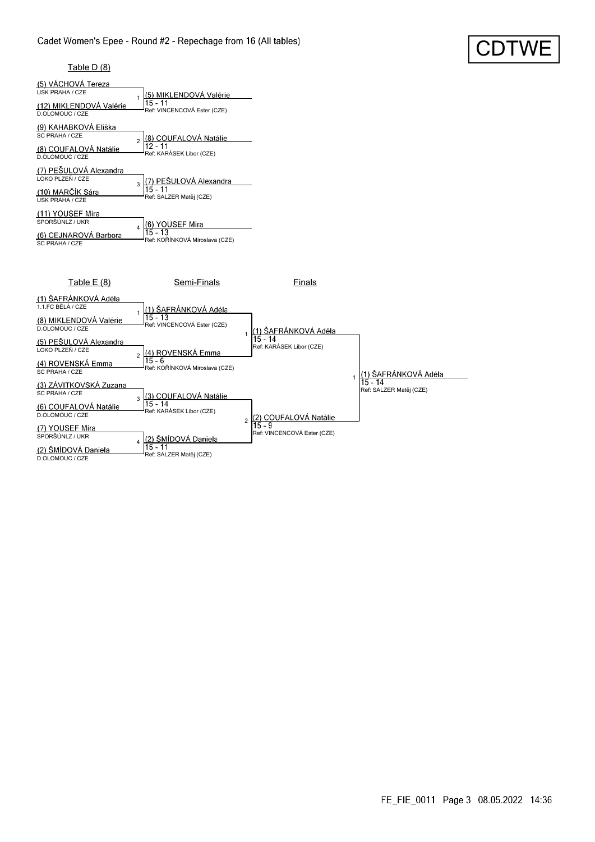

#### Table D (8)

| (5) VÁCHOVÁ Tereza<br><b>USK PRAHA / CZE</b><br>(12) MIKLENDOVÁ Valérie<br>D.OLOMOUC / CZE | (5) MIKLENDOVÁ Valérie<br>$15 - 11$<br>Ref: VINCENCOVÁ Ester (CZE) |
|--------------------------------------------------------------------------------------------|--------------------------------------------------------------------|
| (9) KAHABKOVÁ Eliška                                                                       | (8) COUFALOVÁ Natálie                                              |
| SC PRAHA / CZE                                                                             | $\mathfrak{p}$                                                     |
| (8) COUFALOVÁ Natálie                                                                      | 12 - 11                                                            |
| D.OLOMOUC / CZE                                                                            | Ref: KARÁSEK Libor (CZE)                                           |
| (7) PEŠULOVÁ Alexandra                                                                     | <u>7) PEŠULOVÁ Alexandra</u>                                       |
| I OKO PI ZEŇ / CZE                                                                         | k                                                                  |
| (10) MARČÍK Sára                                                                           | $15 - 11$                                                          |
| <b>USK PRAHA / CZE</b>                                                                     | Ref: SALZER Matěj (CZE)                                            |
| (11) YOUSEF Mira<br>SPORŠÚNLZ / UKR<br>(6) CEJNAROVÁ Barbora<br>SC PRAHA / CZE             | <b>YOUSEF Mira</b><br>15 - 13<br>Ref: KOŘÍNKOVÁ Miroslava (CZE)    |



FE\_FIE\_0011 Page 3 08.05.2022 14:36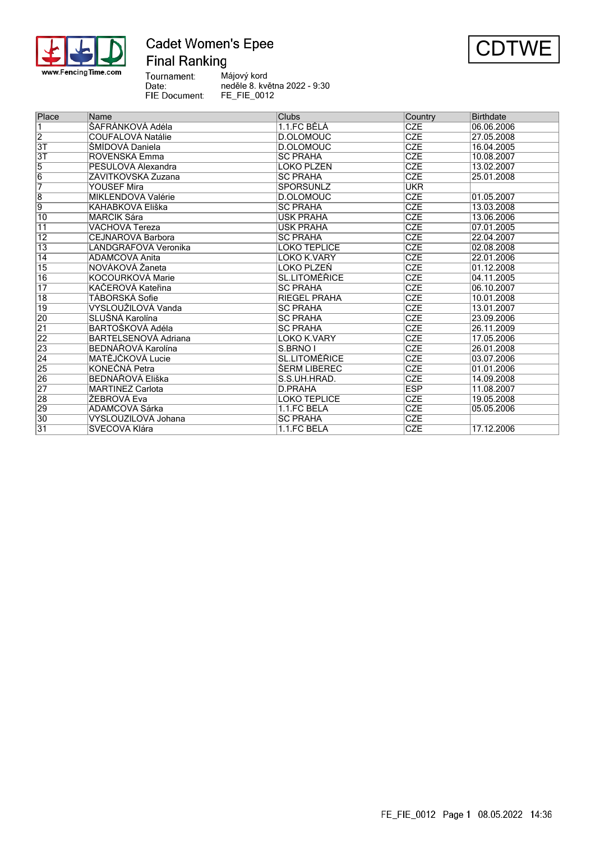

### **Cadet Women's Epee Final Ranking**



Tournament:<br>Date: Májový kord neděle 8. května 2022 - 9:30 FIE Document: FE\_FIE\_0012

| Place           | Name                     | Clubs                | Country    | <b>Birthdate</b> |
|-----------------|--------------------------|----------------------|------------|------------------|
| $\overline{1}$  | ŠAFRÁNKOVÁ Adéla         | 1.1.FC BĚLÁ          | <b>CZE</b> | 06.06.2006       |
| $\overline{2}$  | <b>COUFALOVÁ Natálie</b> | D.OLOMOUC            | <b>CZE</b> | 27.05.2008       |
| 3T              | ŠMÍDOVÁ Daniela          | D.OLOMOUC            | <b>CZE</b> | 16.04.2005       |
| 3T              | ROVENSKÁ Emma            | <b>SC PRAHA</b>      | <b>CZE</b> | 10.08.2007       |
| $\overline{5}$  | PEŠULOVÁ Alexandra       | LOKO PLZEŇ           | <b>CZE</b> | 13.02.2007       |
| $\overline{6}$  | ZÁVITKOVSKÁ Zuzana       | <b>SC PRAHA</b>      | <b>CZE</b> | 25.01.2008       |
| 7               | YOUSEF Mira              | SPORŠÚNLZ            | <b>UKR</b> |                  |
| $\overline{8}$  | MIKLENDOVÁ Valérie       | D.OLOMOUC            | <b>CZE</b> | 01.05.2007       |
| $\overline{9}$  | KAHABKOVÁ Eliška         | <b>SC PRAHA</b>      | <b>CZE</b> | 13.03.2008       |
| 10              | MARČÍK Sára              | USK PRAHA            | <b>CZE</b> | 13.06.2006       |
| $\overline{11}$ | VÁCHOVÁ Tereza           | <b>USK PRAHA</b>     | <b>CZE</b> | 07.01.2005       |
| $\overline{12}$ | <b>CEJNAROVÁ Barbora</b> | <b>SC PRAHA</b>      | <b>CZE</b> | 22.04.2007       |
| $\overline{13}$ | LANDGRAFOVÁ Veronika     | LOKO TEPLICE         | <b>CZE</b> | 02.08.2008       |
| $\overline{14}$ | ADAMCOVÁ Anita           | LOKO K.VARY          | <b>CZE</b> | 22.01.2006       |
| $\overline{15}$ | NOVÁKOVÁ Žaneta          | LOKO PLZEŇ           | <b>CZE</b> | 01.12.2008       |
| $\overline{16}$ | KOCOURKOVÁ Marie         | <b>SL.LITOMĚŘICE</b> | <b>CZE</b> | 04.11.2005       |
| $\overline{17}$ | KAČEROVÁ Kateřina        | <b>SC PRAHA</b>      | <b>CZE</b> | 06.10.2007       |
| $\overline{18}$ | TÁBORSKÁ Sofie           | <b>RIEGEL PRAHA</b>  | <b>CZE</b> | 10.01.2008       |
| 19              | VYSLOUŽILOVÁ Vanda       | <b>SC PRAHA</b>      | <b>CZE</b> | 13.01.2007       |
| 20              | SLUŠNÁ Karolína          | <b>SC PRAHA</b>      | <b>CZE</b> | 23.09.2006       |
| $\overline{21}$ | BARTOŠKOVÁ Adéla         | <b>SC PRAHA</b>      | <b>CZE</b> | 26.11.2009       |
| 22              | BARTELSENOVÁ Adriana     | LOKO K.VARY          | <b>CZE</b> | 17.05.2006       |
| 23              | BEDNÁŘOVÁ Karolína       | S.BRNO I             | <b>CZE</b> | 26.01.2008       |
| $\overline{24}$ | MATĚJČKOVÁ Lucie         | SL.LITOMĚŘICE        | <b>CZE</b> | 03.07.2006       |
| 25              | KONEČNÁ Petra            | <b>SERM LIBEREC</b>  | <b>CZE</b> | 01.01.2006       |
| 26              | <b>BEDNÁŘOVÁ Eliška</b>  | S.S.UH.HRAD.         | <b>CZE</b> | 14.09.2008       |
| $\overline{27}$ | <b>MARTINEZ Carlota</b>  | D.PRAHA              | <b>ESP</b> | 11.08.2007       |
| 28              | ŽEBROVÁ Eva              | LOKO TEPLICE         | <b>CZE</b> | 19.05.2008       |
| 29              | ADAMCOVÁ Šárka           | 1.1.FC BĚLÁ          | <b>CZE</b> | 05.05.2006       |
| $\overline{30}$ | VYSLOUŽILOVÁ Johana      | <b>SC PRAHA</b>      | <b>CZE</b> |                  |
| $\overline{31}$ | ŠVECOVÁ Klára            | 1.1.FC BĚLÁ          | <b>CZE</b> | 17.12.2006       |